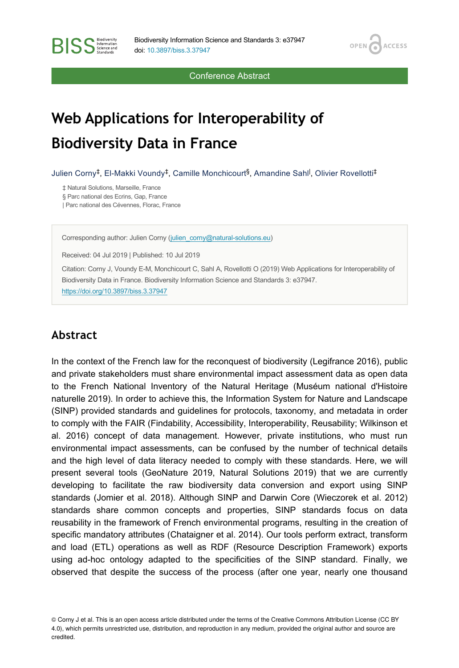Conference Abstract

**OPEN** 

**ACCESS** 

# **Web Applications for Interoperability of Biodiversity Data in France**

Julien Corny<sup>‡</sup>, El-Makki Voundy<sup>‡</sup>, Camille Monchicourt<sup>§</sup>, Amandine Sahl<sup>l</sup>, Olivier Rovellotti<sup>‡</sup>

‡ Natural Solutions, Marseille, France § Parc national des Ecrins, Gap, France | Parc national des Cévennes, Florac, France

**BISS** Steince and

Corresponding author: Julien Corny ([julien\\_corny@natural-solutions.eu](mailto:julien_corny@natural-solutions.eu))

Received: 04 Jul 2019 | Published: 10 Jul 2019

Citation: Corny J, Voundy E-M, Monchicourt C, Sahl A, Rovellotti O (2019) Web Applications for Interoperability of Biodiversity Data in France. Biodiversity Information Science and Standards 3: e37947. <https://doi.org/10.3897/biss.3.37947>

#### **Abstract**

In the context of the French law for the reconquest of biodiversity (Legifrance 2016), public and private stakeholders must share environmental impact assessment data as open data to the French National Inventory of the Natural Heritage (Muséum national d'Histoire naturelle 2019). In order to achieve this, the Information System for Nature and Landscape (SINP) provided standards and guidelines for protocols, taxonomy, and metadata in order to comply with the FAIR (Findability, Accessibility, Interoperability, Reusability; Wilkinson et al. 2016) concept of data management. However, private institutions, who must run environmental impact assessments, can be confused by the number of technical details and the high level of data literacy needed to comply with these standards. Here, we will present several tools (GeoNature 2019, Natural Solutions 2019) that we are currently developing to facilitate the raw biodiversity data conversion and export using SINP standards (Jomier et al. 2018). Although SINP and Darwin Core (Wieczorek et al. 2012) standards share common concepts and properties, SINP standards focus on data reusability in the framework of French environmental programs, resulting in the creation of specific mandatory attributes (Chataigner et al. 2014). Our tools perform extract, transform and load (ETL) operations as well as RDF (Resource Description Framework) exports using ad-hoc ontology adapted to the specificities of the SINP standard. Finally, we observed that despite the success of the process (after one year, nearly one thousand

© Corny J et al. This is an open access article distributed under the terms of the Creative Commons Attribution License (CC BY 4.0), which permits unrestricted use, distribution, and reproduction in any medium, provided the original author and source are credited.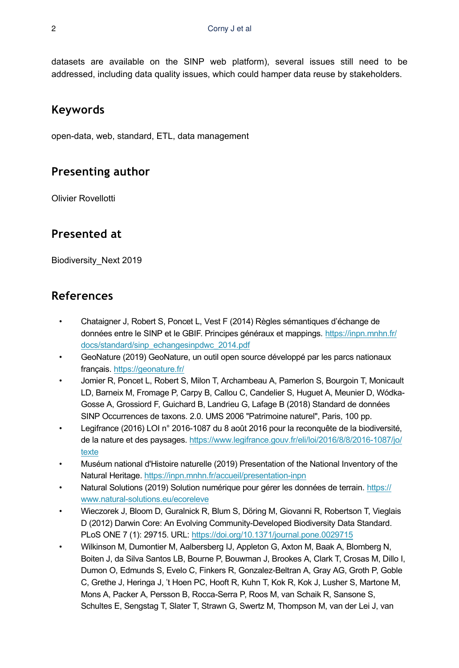datasets are available on the SINP web platform), several issues still need to be addressed, including data quality issues, which could hamper data reuse by stakeholders.

#### **Keywords**

open-data, web, standard, ETL, data management

# **Presenting author**

Olivier Rovellotti

# **Presented at**

Biodiversity\_Next 2019

### **References**

- Chataigner J, Robert S, Poncet L, Vest F (2014) Règles sémantiques d'échange de données entre le SINP et le GBIF. Principes généraux et mappings. [https://inpn.mnhn.fr/](https://inpn.mnhn.fr/docs/standard/sinp_echangesinpdwc_2014.pdf) [docs/standard/sinp\\_echangesinpdwc\\_2014.pdf](https://inpn.mnhn.fr/docs/standard/sinp_echangesinpdwc_2014.pdf)
- GeoNature (2019) GeoNature, un outil open source développé par les parcs nationaux français. <https://geonature.fr/>
- Jomier R, Poncet L, Robert S, Milon T, Archambeau A, Pamerlon S, Bourgoin T, Monicault LD, Barneix M, Fromage P, Carpy B, Callou C, Candelier S, Huguet A, Meunier D, Wódka-Gosse A, Grossiord F, Guichard B, Landrieu G, Lafage B (2018) Standard de données SINP Occurrences de taxons. 2.0. UMS 2006 "Patrimoine naturel", Paris, 100 pp.
- Legifrance (2016) LOI n° 2016-1087 du 8 août 2016 pour la reconquête de la biodiversité, de la nature et des paysages. [https://www.legifrance.gouv.fr/eli/loi/2016/8/8/2016-1087/jo/](https://www.legifrance.gouv.fr/eli/loi/2016/8/8/2016-1087/jo/texte) [texte](https://www.legifrance.gouv.fr/eli/loi/2016/8/8/2016-1087/jo/texte)
- Muséum national d'Histoire naturelle (2019) Presentation of the National Inventory of the Natural Heritage.<https://inpn.mnhn.fr/accueil/presentation-inpn>
- Natural Solutions (2019) Solution numérique pour gérer les données de terrain. [https://](https://www.natural-solutions.eu/ecoreleve) [www.natural-solutions.eu/ecoreleve](https://www.natural-solutions.eu/ecoreleve)
- Wieczorek J, Bloom D, Guralnick R, Blum S, Döring M, Giovanni R, Robertson T, Vieglais D (2012) Darwin Core: An Evolving Community-Developed Biodiversity Data Standard. PLoS ONE 7 (1): 29715. URL:<https://doi.org/10.1371/journal.pone.0029715>
- Wilkinson M, Dumontier M, Aalbersberg IJ, Appleton G, Axton M, Baak A, Blomberg N, Boiten J, da Silva Santos LB, Bourne P, Bouwman J, Brookes A, Clark T, Crosas M, Dillo I, Dumon O, Edmunds S, Evelo C, Finkers R, Gonzalez-Beltran A, Gray AG, Groth P, Goble C, Grethe J, Heringa J, 't Hoen PC, Hooft R, Kuhn T, Kok R, Kok J, Lusher S, Martone M, Mons A, Packer A, Persson B, Rocca-Serra P, Roos M, van Schaik R, Sansone S, Schultes E, Sengstag T, Slater T, Strawn G, Swertz M, Thompson M, van der Lei J, van